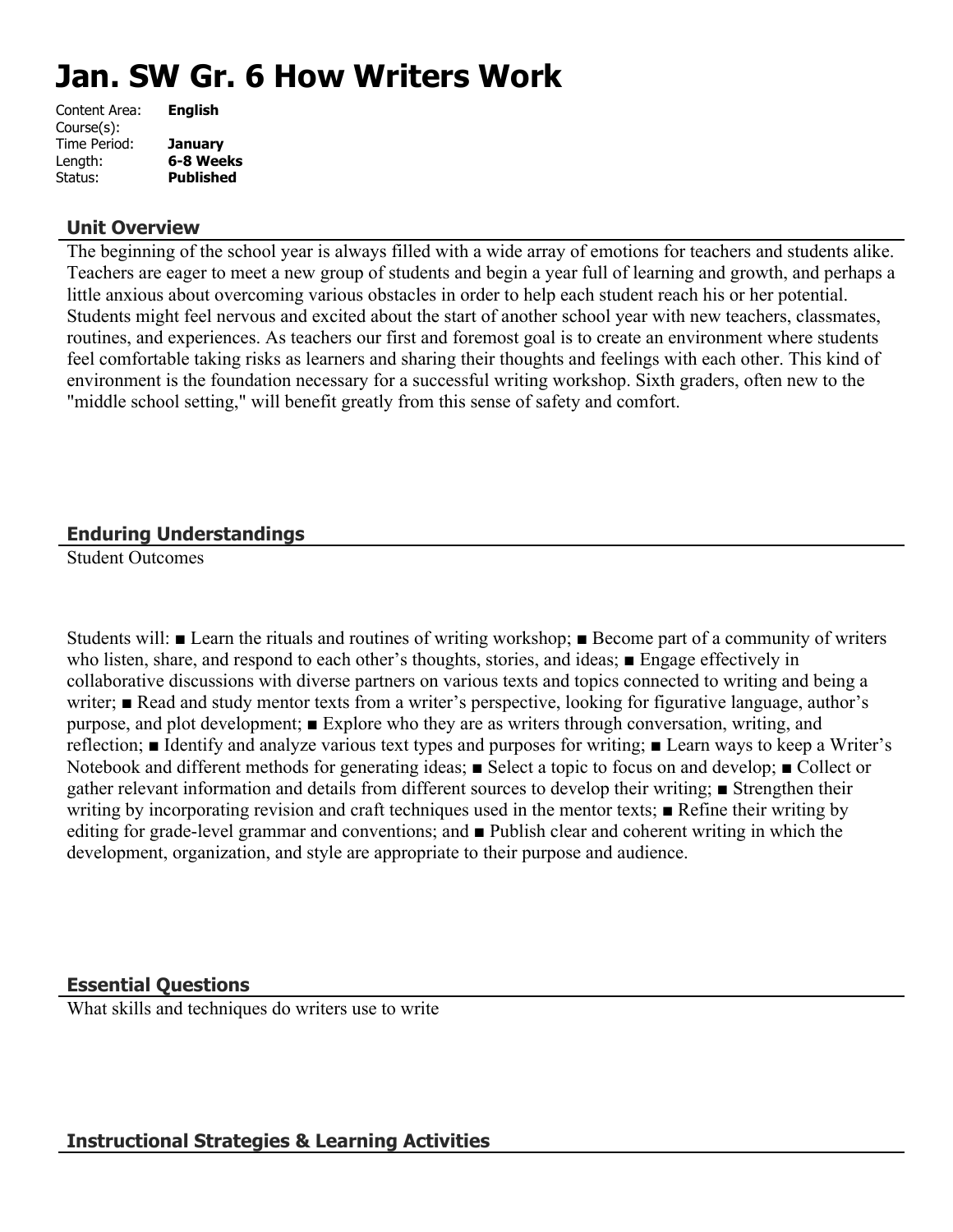# **Jan. SW Gr. 6 How Writers Work**

| Content Area: | <b>English</b>   |
|---------------|------------------|
| Course(s):    |                  |
| Time Period:  | <b>January</b>   |
| Length:       | 6-8 Weeks        |
| Status:       | <b>Published</b> |
|               |                  |

### **Unit Overview**

The beginning of the school year is always filled with a wide array of emotions for teachers and students alike. Teachers are eager to meet a new group of students and begin a year full of learning and growth, and perhaps a little anxious about overcoming various obstacles in order to help each student reach his or her potential. Students might feel nervous and excited about the start of another school year with new teachers, classmates, routines, and experiences. As teachers our first and foremost goal is to create an environment where students feel comfortable taking risks as learners and sharing their thoughts and feelings with each other. This kind of environment is the foundation necessary for a successful writing workshop. Sixth graders, often new to the "middle school setting," will benefit greatly from this sense of safety and comfort.

## **Enduring Understandings**

Student Outcomes

Students will: ■ Learn the rituals and routines of writing workshop; ■ Become part of a community of writers who listen, share, and respond to each other's thoughts, stories, and ideas; ■ Engage effectively in collaborative discussions with diverse partners on various texts and topics connected to writing and being a writer; ■ Read and study mentor texts from a writer's perspective, looking for figurative language, author's purpose, and plot development; ■ Explore who they are as writers through conversation, writing, and reflection; ■ Identify and analyze various text types and purposes for writing; ■ Learn ways to keep a Writer's Notebook and different methods for generating ideas; ■ Select a topic to focus on and develop; ■ Collect or gather relevant information and details from different sources to develop their writing; ■ Strengthen their writing by incorporating revision and craft techniques used in the mentor texts; ■ Refine their writing by editing for grade-level grammar and conventions; and ■ Publish clear and coherent writing in which the development, organization, and style are appropriate to their purpose and audience.

#### **Essential Questions**

What skills and techniques do writers use to write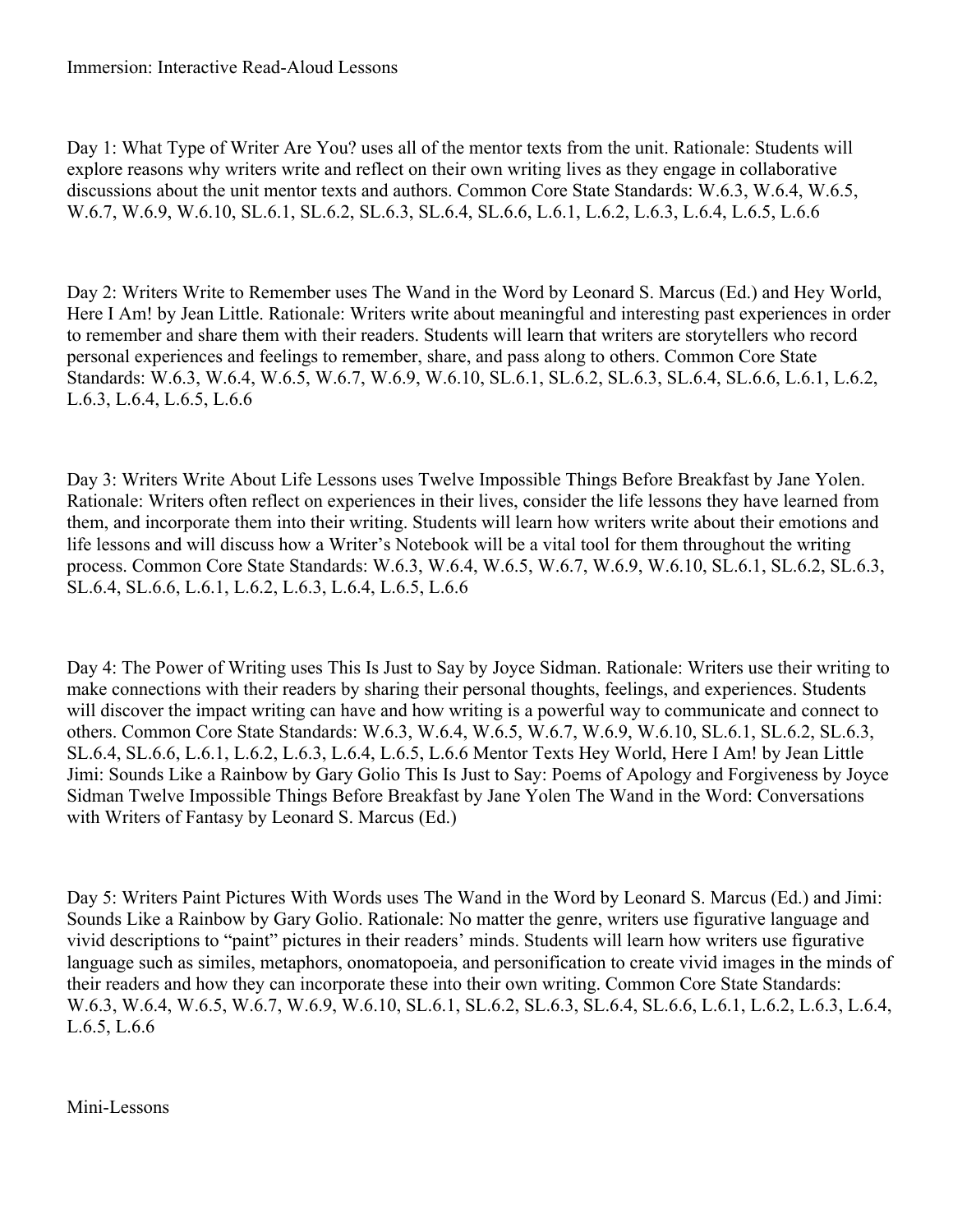Day 1: What Type of Writer Are You? uses all of the mentor texts from the unit. Rationale: Students will explore reasons why writers write and reflect on their own writing lives as they engage in collaborative discussions about the unit mentor texts and authors. Common Core State Standards: W.6.3, W.6.4, W.6.5, W.6.7, W.6.9, W.6.10, SL.6.1, SL.6.2, SL.6.3, SL.6.4, SL.6.6, L.6.1, L.6.2, L.6.3, L.6.4, L.6.5, L.6.6

Day 2: Writers Write to Remember uses The Wand in the Word by Leonard S. Marcus (Ed.) and Hey World, Here I Am! by Jean Little. Rationale: Writers write about meaningful and interesting past experiences in order to remember and share them with their readers. Students will learn that writers are storytellers who record personal experiences and feelings to remember, share, and pass along to others. Common Core State Standards: W.6.3, W.6.4, W.6.5, W.6.7, W.6.9, W.6.10, SL.6.1, SL.6.2, SL.6.3, SL.6.4, SL.6.6, L.6.1, L.6.2, L.6.3, L.6.4, L.6.5, L.6.6

Day 3: Writers Write About Life Lessons uses Twelve Impossible Things Before Breakfast by Jane Yolen. Rationale: Writers often reflect on experiences in their lives, consider the life lessons they have learned from them, and incorporate them into their writing. Students will learn how writers write about their emotions and life lessons and will discuss how a Writer's Notebook will be a vital tool for them throughout the writing process. Common Core State Standards: W.6.3, W.6.4, W.6.5, W.6.7, W.6.9, W.6.10, SL.6.1, SL.6.2, SL.6.3, SL.6.4, SL.6.6, L.6.1, L.6.2, L.6.3, L.6.4, L.6.5, L.6.6

Day 4: The Power of Writing uses This Is Just to Say by Joyce Sidman. Rationale: Writers use their writing to make connections with their readers by sharing their personal thoughts, feelings, and experiences. Students will discover the impact writing can have and how writing is a powerful way to communicate and connect to others. Common Core State Standards: W.6.3, W.6.4, W.6.5, W.6.7, W.6.9, W.6.10, SL.6.1, SL.6.2, SL.6.3, SL.6.4, SL.6.6, L.6.1, L.6.2, L.6.3, L.6.4, L.6.5, L.6.6 Mentor Texts Hey World, Here I Am! by Jean Little Jimi: Sounds Like a Rainbow by Gary Golio This Is Just to Say: Poems of Apology and Forgiveness by Joyce Sidman Twelve Impossible Things Before Breakfast by Jane Yolen The Wand in the Word: Conversations with Writers of Fantasy by Leonard S. Marcus (Ed.)

Day 5: Writers Paint Pictures With Words uses The Wand in the Word by Leonard S. Marcus (Ed.) and Jimi: Sounds Like a Rainbow by Gary Golio. Rationale: No matter the genre, writers use figurative language and vivid descriptions to "paint" pictures in their readers' minds. Students will learn how writers use figurative language such as similes, metaphors, onomatopoeia, and personification to create vivid images in the minds of their readers and how they can incorporate these into their own writing. Common Core State Standards: W.6.3, W.6.4, W.6.5, W.6.7, W.6.9, W.6.10, SL.6.1, SL.6.2, SL.6.3, SL.6.4, SL.6.6, L.6.1, L.6.2, L.6.3, L.6.4, L.6.5, L.6.6

Mini-Lessons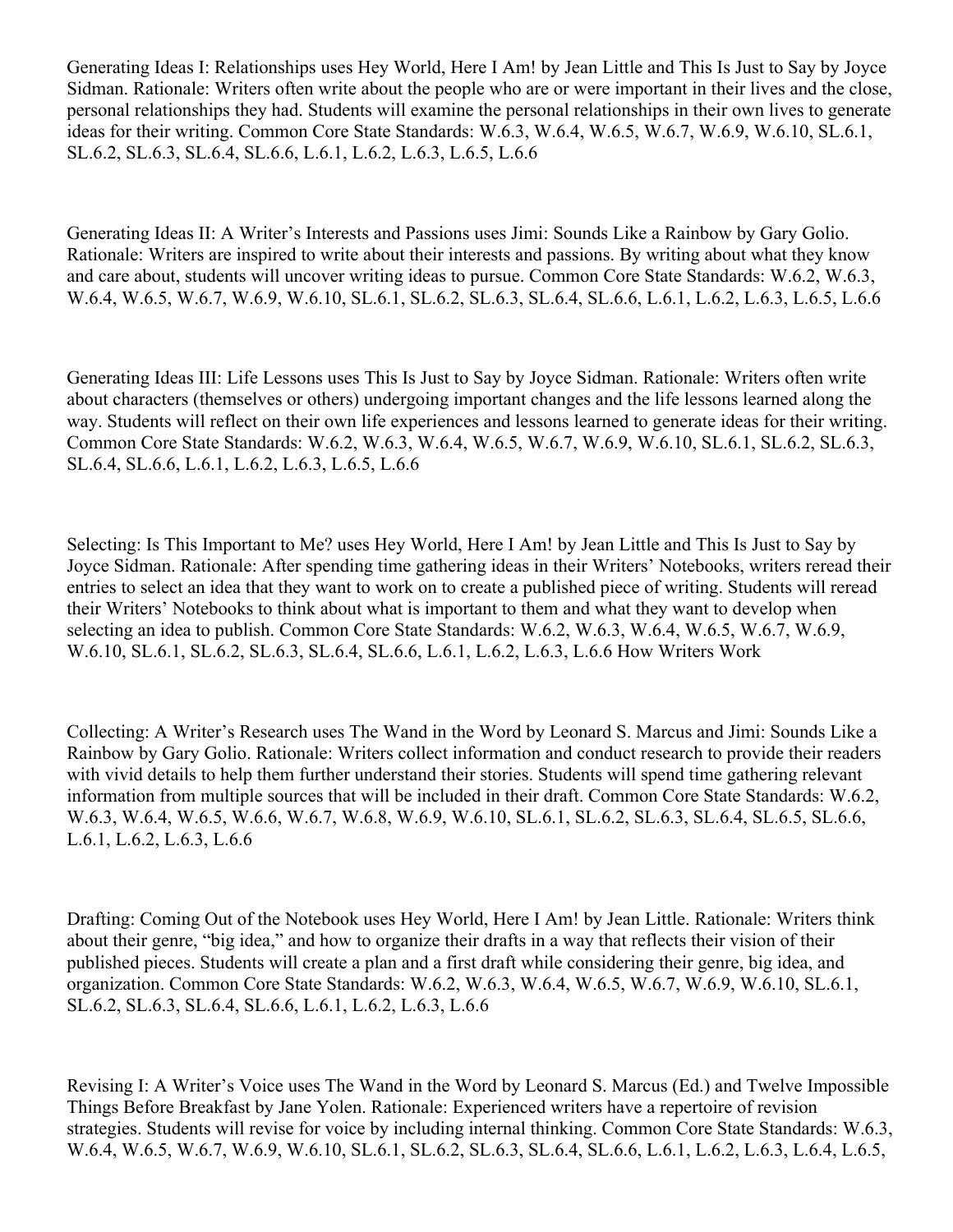Generating Ideas I: Relationships uses Hey World, Here I Am! by Jean Little and This Is Just to Say by Joyce Sidman. Rationale: Writers often write about the people who are or were important in their lives and the close, personal relationships they had. Students will examine the personal relationships in their own lives to generate ideas for their writing. Common Core State Standards: W.6.3, W.6.4, W.6.5, W.6.7, W.6.9, W.6.10, SL.6.1, SL.6.2, SL.6.3, SL.6.4, SL.6.6, L.6.1, L.6.2, L.6.3, L.6.5, L.6.6

Generating Ideas II: A Writer's Interests and Passions uses Jimi: Sounds Like a Rainbow by Gary Golio. Rationale: Writers are inspired to write about their interests and passions. By writing about what they know and care about, students will uncover writing ideas to pursue. Common Core State Standards: W.6.2, W.6.3, W.6.4, W.6.5, W.6.7, W.6.9, W.6.10, SL.6.1, SL.6.2, SL.6.3, SL.6.4, SL.6.6, L.6.1, L.6.2, L.6.3, L.6.5, L.6.6

Generating Ideas III: Life Lessons uses This Is Just to Say by Joyce Sidman. Rationale: Writers often write about characters (themselves or others) undergoing important changes and the life lessons learned along the way. Students will reflect on their own life experiences and lessons learned to generate ideas for their writing. Common Core State Standards: W.6.2, W.6.3, W.6.4, W.6.5, W.6.7, W.6.9, W.6.10, SL.6.1, SL.6.2, SL.6.3, SL.6.4, SL.6.6, L.6.1, L.6.2, L.6.3, L.6.5, L.6.6

Selecting: Is This Important to Me? uses Hey World, Here I Am! by Jean Little and This Is Just to Say by Joyce Sidman. Rationale: After spending time gathering ideas in their Writers' Notebooks, writers reread their entries to select an idea that they want to work on to create a published piece of writing. Students will reread their Writers' Notebooks to think about what is important to them and what they want to develop when selecting an idea to publish. Common Core State Standards: W.6.2, W.6.3, W.6.4, W.6.5, W.6.7, W.6.9, W.6.10, SL.6.1, SL.6.2, SL.6.3, SL.6.4, SL.6.6, L.6.1, L.6.2, L.6.3, L.6.6 How Writers Work

Collecting: A Writer's Research uses The Wand in the Word by Leonard S. Marcus and Jimi: Sounds Like a Rainbow by Gary Golio. Rationale: Writers collect information and conduct research to provide their readers with vivid details to help them further understand their stories. Students will spend time gathering relevant information from multiple sources that will be included in their draft. Common Core State Standards: W.6.2, W.6.3, W.6.4, W.6.5, W.6.6, W.6.7, W.6.8, W.6.9, W.6.10, SL.6.1, SL.6.2, SL.6.3, SL.6.4, SL.6.5, SL.6.6, L.6.1, L.6.2, L.6.3, L.6.6

Drafting: Coming Out of the Notebook uses Hey World, Here I Am! by Jean Little. Rationale: Writers think about their genre, "big idea," and how to organize their drafts in a way that reflects their vision of their published pieces. Students will create a plan and a first draft while considering their genre, big idea, and organization. Common Core State Standards: W.6.2, W.6.3, W.6.4, W.6.5, W.6.7, W.6.9, W.6.10, SL.6.1, SL.6.2, SL.6.3, SL.6.4, SL.6.6, L.6.1, L.6.2, L.6.3, L.6.6

Revising I: A Writer's Voice uses The Wand in the Word by Leonard S. Marcus (Ed.) and Twelve Impossible Things Before Breakfast by Jane Yolen. Rationale: Experienced writers have a repertoire of revision strategies. Students will revise for voice by including internal thinking. Common Core State Standards: W.6.3, W.6.4, W.6.5, W.6.7, W.6.9, W.6.10, SL.6.1, SL.6.2, SL.6.3, SL.6.4, SL.6.6, L.6.1, L.6.2, L.6.3, L.6.4, L.6.5,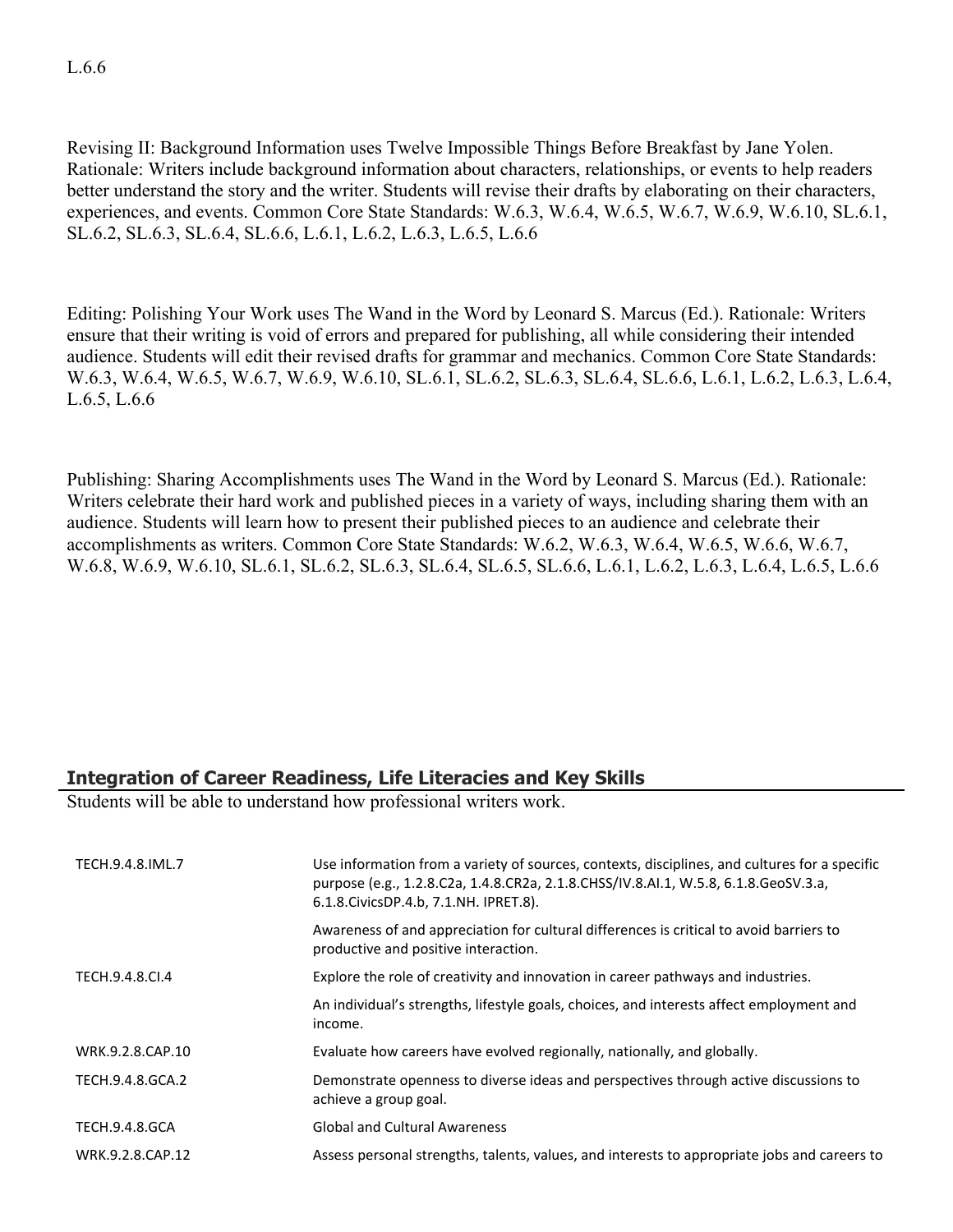Revising II: Background Information uses Twelve Impossible Things Before Breakfast by Jane Yolen. Rationale: Writers include background information about characters, relationships, or events to help readers better understand the story and the writer. Students will revise their drafts by elaborating on their characters, experiences, and events. Common Core State Standards: W.6.3, W.6.4, W.6.5, W.6.7, W.6.9, W.6.10, SL.6.1, SL.6.2, SL.6.3, SL.6.4, SL.6.6, L.6.1, L.6.2, L.6.3, L.6.5, L.6.6

Editing: Polishing Your Work uses The Wand in the Word by Leonard S. Marcus (Ed.). Rationale: Writers ensure that their writing is void of errors and prepared for publishing, all while considering their intended audience. Students will edit their revised drafts for grammar and mechanics. Common Core State Standards: W.6.3, W.6.4, W.6.5, W.6.7, W.6.9, W.6.10, SL.6.1, SL.6.2, SL.6.3, SL.6.4, SL.6.6, L.6.1, L.6.2, L.6.3, L.6.4, L.6.5, L.6.6

Publishing: Sharing Accomplishments uses The Wand in the Word by Leonard S. Marcus (Ed.). Rationale: Writers celebrate their hard work and published pieces in a variety of ways, including sharing them with an audience. Students will learn how to present their published pieces to an audience and celebrate their accomplishments as writers. Common Core State Standards: W.6.2, W.6.3, W.6.4, W.6.5, W.6.6, W.6.7, W.6.8, W.6.9, W.6.10, SL.6.1, SL.6.2, SL.6.3, SL.6.4, SL.6.5, SL.6.6, L.6.1, L.6.2, L.6.3, L.6.4, L.6.5, L.6.6

## **Integration of Career Readiness, Life Literacies and Key Skills**

Students will be able to understand how professional writers work.

| TECH.9.4.8.IML.7      | Use information from a variety of sources, contexts, disciplines, and cultures for a specific<br>purpose (e.g., 1.2.8.C2a, 1.4.8.CR2a, 2.1.8.CHSS/IV.8.AI.1, W.5.8, 6.1.8.GeoSV.3.a,<br>6.1.8. Civics DP.4.b, 7.1. NH. IPRET.8). |
|-----------------------|----------------------------------------------------------------------------------------------------------------------------------------------------------------------------------------------------------------------------------|
|                       | Awareness of and appreciation for cultural differences is critical to avoid barriers to<br>productive and positive interaction.                                                                                                  |
| TECH.9.4.8.CL4        | Explore the role of creativity and innovation in career pathways and industries.                                                                                                                                                 |
|                       | An individual's strengths, lifestyle goals, choices, and interests affect employment and<br>income.                                                                                                                              |
| WRK.9.2.8.CAP.10      | Evaluate how careers have evolved regionally, nationally, and globally.                                                                                                                                                          |
| TECH.9.4.8.GCA.2      | Demonstrate openness to diverse ideas and perspectives through active discussions to<br>achieve a group goal.                                                                                                                    |
| <b>TECH.9.4.8.GCA</b> | <b>Global and Cultural Awareness</b>                                                                                                                                                                                             |
| WRK.9.2.8.CAP.12      | Assess personal strengths, talents, values, and interests to appropriate jobs and careers to                                                                                                                                     |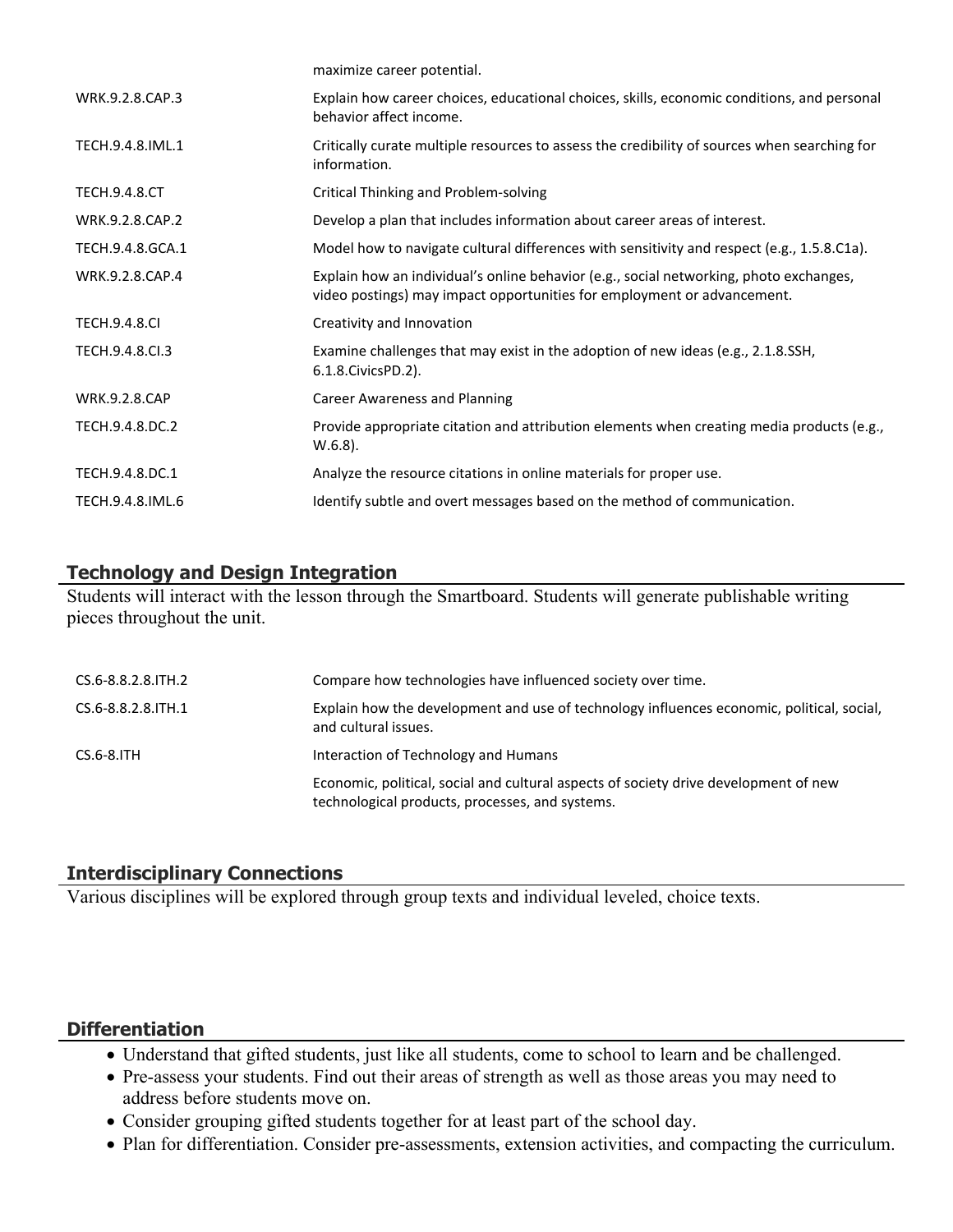|                      | maximize career potential.                                                                                                                                        |
|----------------------|-------------------------------------------------------------------------------------------------------------------------------------------------------------------|
| WRK.9.2.8.CAP.3      | Explain how career choices, educational choices, skills, economic conditions, and personal<br>behavior affect income.                                             |
| TECH.9.4.8.IML.1     | Critically curate multiple resources to assess the credibility of sources when searching for<br>information.                                                      |
| <b>TECH.9.4.8.CT</b> | Critical Thinking and Problem-solving                                                                                                                             |
| WRK.9.2.8.CAP.2      | Develop a plan that includes information about career areas of interest.                                                                                          |
| TECH.9.4.8.GCA.1     | Model how to navigate cultural differences with sensitivity and respect (e.g., 1.5.8.C1a).                                                                        |
| WRK.9.2.8.CAP.4      | Explain how an individual's online behavior (e.g., social networking, photo exchanges,<br>video postings) may impact opportunities for employment or advancement. |
| <b>TECH.9.4.8.CI</b> | Creativity and Innovation                                                                                                                                         |
| TECH.9.4.8.CI.3      | Examine challenges that may exist in the adoption of new ideas (e.g., 2.1.8.SSH,<br>6.1.8. Civics PD. 2).                                                         |
| <b>WRK.9.2.8.CAP</b> | Career Awareness and Planning                                                                                                                                     |
| TECH.9.4.8.DC.2      | Provide appropriate citation and attribution elements when creating media products (e.g.,<br>$W.6.8$ ).                                                           |
| TECH.9.4.8.DC.1      | Analyze the resource citations in online materials for proper use.                                                                                                |
| TECH.9.4.8.IML.6     | Identify subtle and overt messages based on the method of communication.                                                                                          |

### **Technology and Design Integration**

Students will interact with the lesson through the Smartboard. Students will generate publishable writing pieces throughout the unit.

| CS.6-8.8.2.8.ITH.2   | Compare how technologies have influenced society over time.                                                                             |
|----------------------|-----------------------------------------------------------------------------------------------------------------------------------------|
| CS.6-8.8.2.8. ITH. 1 | Explain how the development and use of technology influences economic, political, social,<br>and cultural issues.                       |
| $CS.6-8.1TH$         | Interaction of Technology and Humans                                                                                                    |
|                      | Economic, political, social and cultural aspects of society drive development of new<br>technological products, processes, and systems. |

## **Interdisciplinary Connections**

Various disciplines will be explored through group texts and individual leveled, choice texts.

## **Differentiation**

- Understand that gifted students, just like all students, come to school to learn and be challenged.
- Pre-assess your students. Find out their areas of strength as well as those areas you may need to address before students move on.
- Consider grouping gifted students together for at least part of the school day.
- Plan for differentiation. Consider pre-assessments, extension activities, and compacting the curriculum.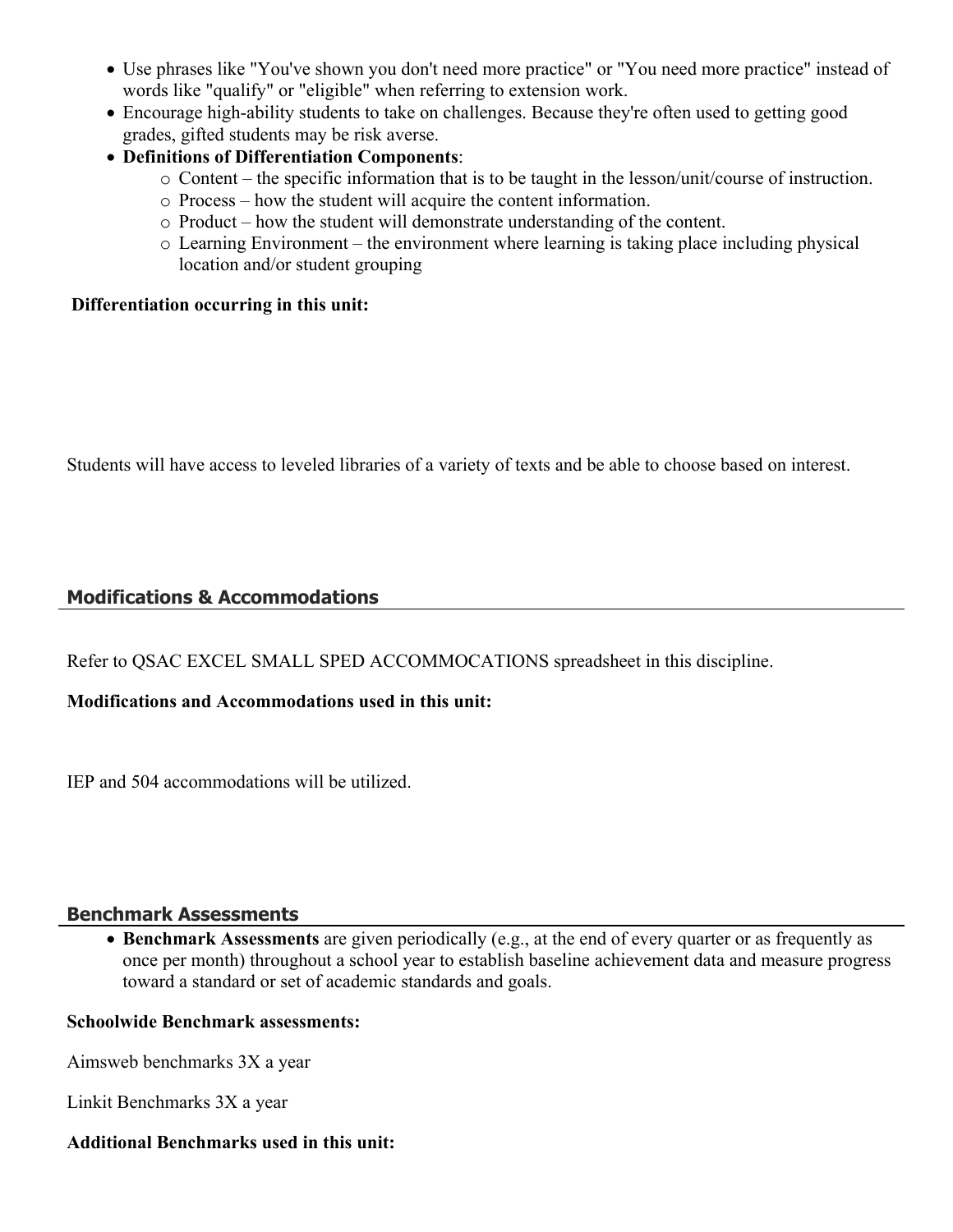- Use phrases like "You've shown you don't need more practice" or "You need more practice" instead of words like "qualify" or "eligible" when referring to extension work.
- Encourage high-ability students to take on challenges. Because they're often used to getting good grades, gifted students may be risk averse.
- **Definitions of Differentiation Components**:
	- o Content the specific information that is to be taught in the lesson/unit/course of instruction.
	- o Process how the student will acquire the content information.
	- o Product how the student will demonstrate understanding of the content.
	- o Learning Environment the environment where learning is taking place including physical location and/or student grouping

#### **Differentiation occurring in this unit:**

Students will have access to leveled libraries of a variety of texts and be able to choose based on interest.

## **Modifications & Accommodations**

Refer to QSAC EXCEL SMALL SPED ACCOMMOCATIONS spreadsheet in this discipline.

#### **Modifications and Accommodations used in this unit:**

IEP and 504 accommodations will be utilized.

#### **Benchmark Assessments**

 **Benchmark Assessments** are given periodically (e.g., at the end of every quarter or as frequently as once per month) throughout a school year to establish baseline achievement data and measure progress toward a standard or set of academic standards and goals.

#### **Schoolwide Benchmark assessments:**

Aimsweb benchmarks 3X a year

Linkit Benchmarks 3X a year

#### **Additional Benchmarks used in this unit:**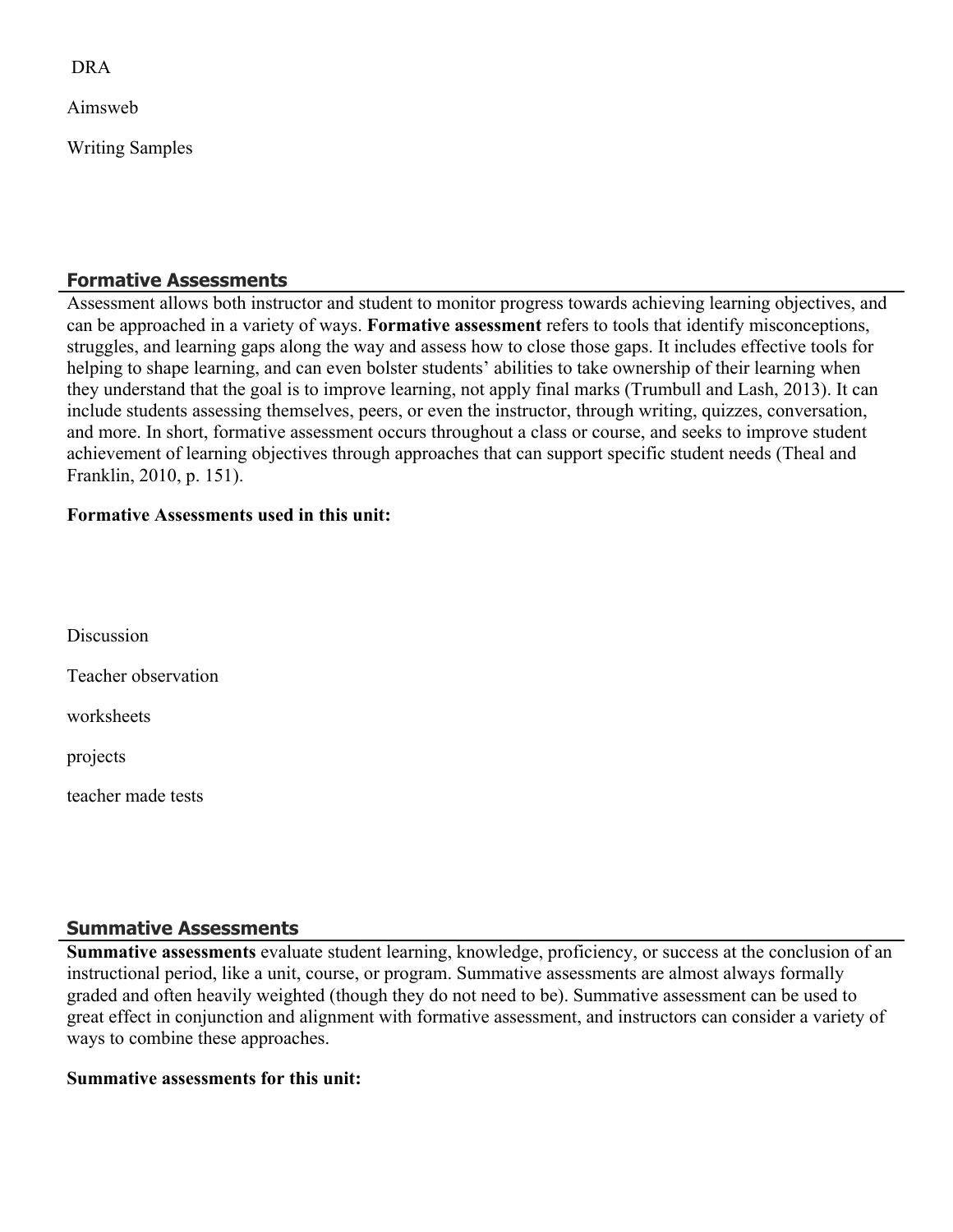DRA

Aimsweb

Writing Samples

### **Formative Assessments**

Assessment allows both instructor and student to monitor progress towards achieving learning objectives, and can be approached in a variety of ways. **Formative assessment** refers to tools that identify misconceptions, struggles, and learning gaps along the way and assess how to close those gaps. It includes effective tools for helping to shape learning, and can even bolster students' abilities to take ownership of their learning when they understand that the goal is to improve learning, not apply final marks (Trumbull and Lash, 2013). It can include students assessing themselves, peers, or even the instructor, through writing, quizzes, conversation, and more. In short, formative assessment occurs throughout a class or course, and seeks to improve student achievement of learning objectives through approaches that can support specific student needs (Theal and Franklin, 2010, p. 151).

#### **Formative Assessments used in this unit:**

**Discussion** Teacher observation worksheets projects

teacher made tests

#### **Summative Assessments**

**Summative assessments** evaluate student learning, knowledge, proficiency, or success at the conclusion of an instructional period, like a unit, course, or program. Summative assessments are almost always formally graded and often heavily weighted (though they do not need to be). Summative assessment can be used to great effect in conjunction and alignment with formative assessment, and instructors can consider a variety of ways to combine these approaches.

#### **Summative assessments for this unit:**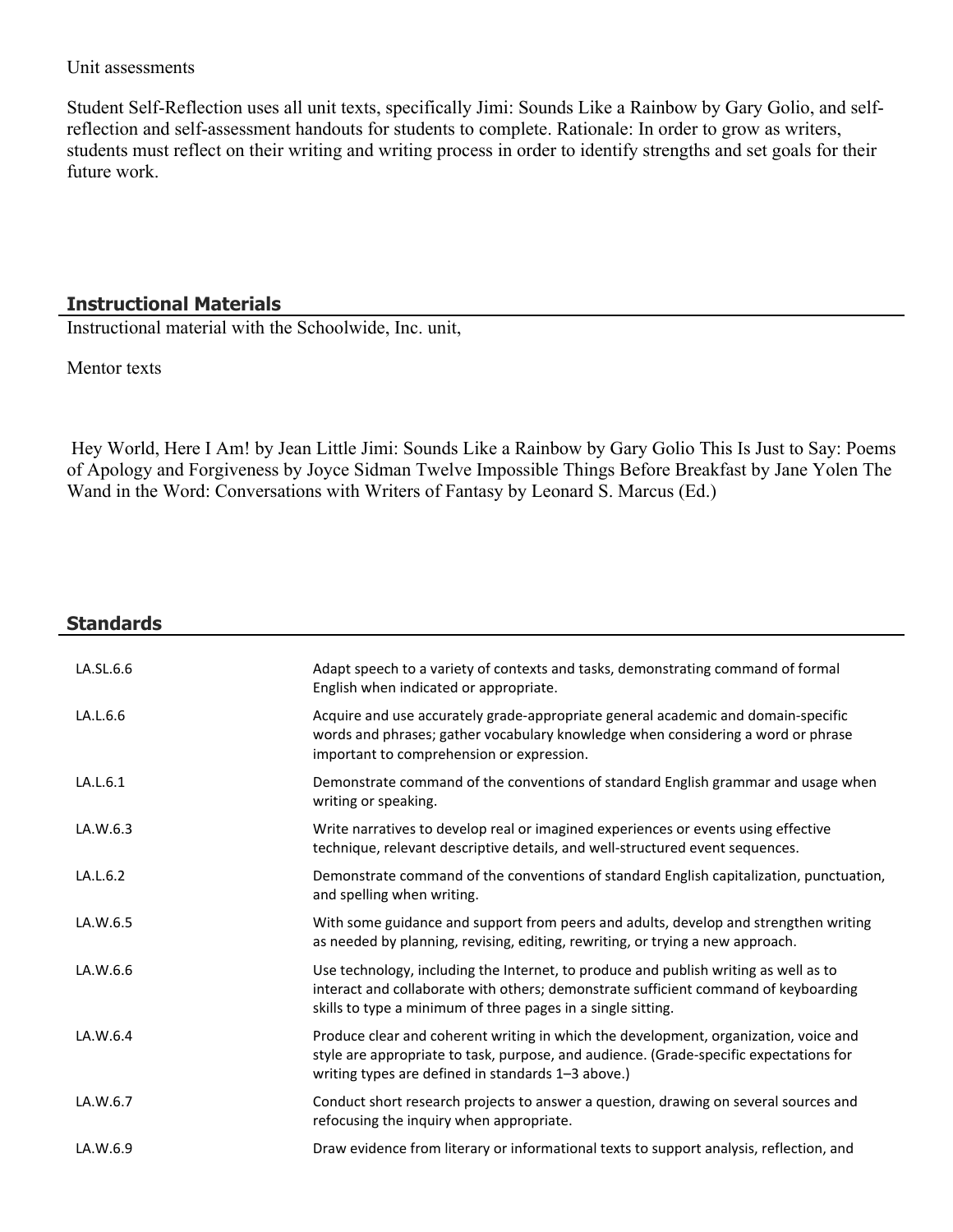#### Unit assessments

Student Self-Reflection uses all unit texts, specifically Jimi: Sounds Like a Rainbow by Gary Golio, and selfreflection and self-assessment handouts for students to complete. Rationale: In order to grow as writers, students must reflect on their writing and writing process in order to identify strengths and set goals for their future work.

#### **Instructional Materials**

Instructional material with the Schoolwide, Inc. unit,

Mentor texts

 Hey World, Here I Am! by Jean Little Jimi: Sounds Like a Rainbow by Gary Golio This Is Just to Say: Poems of Apology and Forgiveness by Joyce Sidman Twelve Impossible Things Before Breakfast by Jane Yolen The Wand in the Word: Conversations with Writers of Fantasy by Leonard S. Marcus (Ed.)

| <b>Standards</b> |                                                                                                                                                                                                                                             |
|------------------|---------------------------------------------------------------------------------------------------------------------------------------------------------------------------------------------------------------------------------------------|
| LA.SL.6.6        | Adapt speech to a variety of contexts and tasks, demonstrating command of formal<br>English when indicated or appropriate.                                                                                                                  |
| LA.L.6.6         | Acquire and use accurately grade-appropriate general academic and domain-specific<br>words and phrases; gather vocabulary knowledge when considering a word or phrase<br>important to comprehension or expression.                          |
| LA.L.6.1         | Demonstrate command of the conventions of standard English grammar and usage when<br>writing or speaking.                                                                                                                                   |
| LA.W.6.3         | Write narratives to develop real or imagined experiences or events using effective<br>technique, relevant descriptive details, and well-structured event sequences.                                                                         |
| LA.L.6.2         | Demonstrate command of the conventions of standard English capitalization, punctuation,<br>and spelling when writing.                                                                                                                       |
| LA.W.6.5         | With some guidance and support from peers and adults, develop and strengthen writing<br>as needed by planning, revising, editing, rewriting, or trying a new approach.                                                                      |
| LA.W.6.6         | Use technology, including the Internet, to produce and publish writing as well as to<br>interact and collaborate with others; demonstrate sufficient command of keyboarding<br>skills to type a minimum of three pages in a single sitting. |
| LA.W.6.4         | Produce clear and coherent writing in which the development, organization, voice and<br>style are appropriate to task, purpose, and audience. (Grade-specific expectations for<br>writing types are defined in standards 1-3 above.)        |
| LA.W.6.7         | Conduct short research projects to answer a question, drawing on several sources and<br>refocusing the inquiry when appropriate.                                                                                                            |
| LA.W.6.9         | Draw evidence from literary or informational texts to support analysis, reflection, and                                                                                                                                                     |